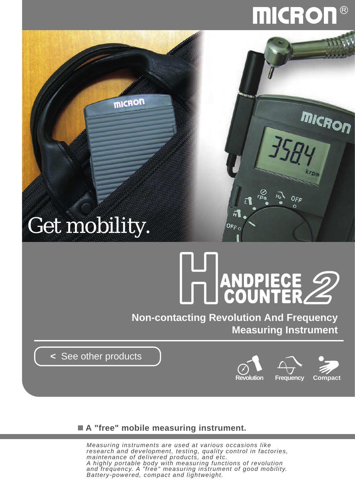## **MICROI**

micRon

OFF

### Get mobility.

**MICRON** 

# DU ANDPIECE

**Non-contacting Revolution And Frequency Measuring Instrument**

 $\overline{H}$ 

OFF O

**<** [See other products](http://www.micdent.com/new_page/NeoM2/brochure.html)



### **A "free" mobile measuring instrument.**

*Measuring instruments are used at various occasions like research and development, testing, quality control in factories, maintenance of delivered products, and etc. A highly portable body with measuring functions of revolution and frequency. A "free" measuring instrument of good mobility. Battery-powered, compact and lightweight.*